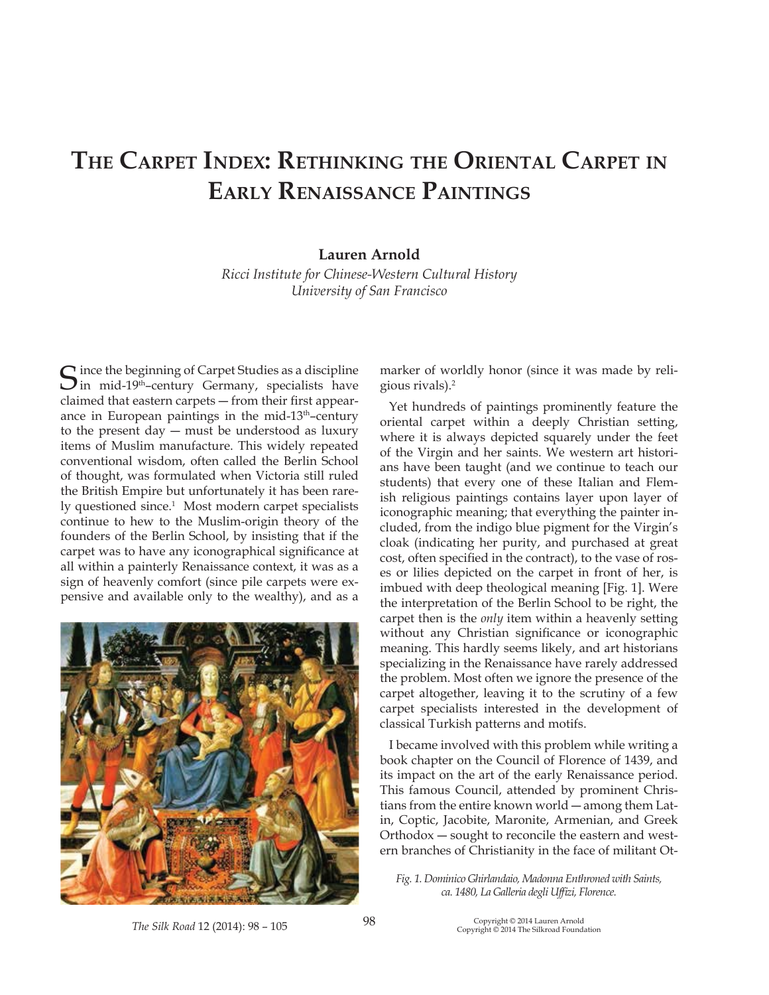# **THE CARPET INDEX: RETHINKING THE ORIENTAL CARPET IN EARLY RENAISSANCE PAINTINGS**

# **Lauren Arnold**

 $Ricci$ *Institute for Chinese-Western Cultural History University of San Francisco* 

 $\bigcap$  ince the beginning of Carpet Studies as a discipline  $\sum$  in mid-19<sup>th</sup>-century Germany, specialists have claimed that eastern carpets - from their first appearance in European paintings in the mid-13<sup>th</sup>-century to the present day  $-$  must be understood as luxury items of Muslim manufacture. This widely repeated conventional wisdom, often called the Berlin School of thought, was formulated when Victoria still ruled the British Empire but unfortunately it has been rarely questioned since.<sup>1</sup> Most modern carpet specialists continue to hew to the Muslim-origin theory of the founders of the Berlin School, by insisting that if the carpet was to have any iconographical significance at all within a painterly Renaissance context, it was as a sign of heavenly comfort (since pile carpets were expensive and available only to the wealthy), and as a



marker of worldly honor (since it was made by religious rivals).2

Yet hundreds of paintings prominently feature the oriental carpet within a deeply Christian setting, where it is always depicted squarely under the feet of the Virgin and her saints. We western art historians have been taught (and we continue to teach our students) that every one of these Italian and Flemish religious paintings contains layer upon layer of iconographic meaning; that everything the painter included, from the indigo blue pigment for the Virgin's cloak (indicating her purity, and purchased at great cost, often specified in the contract), to the vase of roses or lilies depicted on the carpet in front of her, is imbued with deep theological meaning [Fig. 1]. Were the interpretation of the Berlin School to be right, the carpet then is the *only* item within a heavenly setting without any Christian significance or iconographic meaning. This hardly seems likely, and art historians specializing in the Renaissance have rarely addressed the problem. Most often we ignore the presence of the carpet altogether, leaving it to the scrutiny of a few carpet specialists interested in the development of classical Turkish patterns and motifs.

I became involved with this problem while writing a book chapter on the Council of Florence of 1439, and its impact on the art of the early Renaissance period. This famous Council, attended by prominent Christians from the entire known world — among them Latin, Coptic, Jacobite, Maronite, Armenian, and Greek Orthodox - sought to reconcile the eastern and western branches of Christianity in the face of militant Ot-

Fig. 1. Dominico Ghirlandaio, Madonna Enthroned with Saints, ca. 1480, La Galleria degli Uffizi, Florence.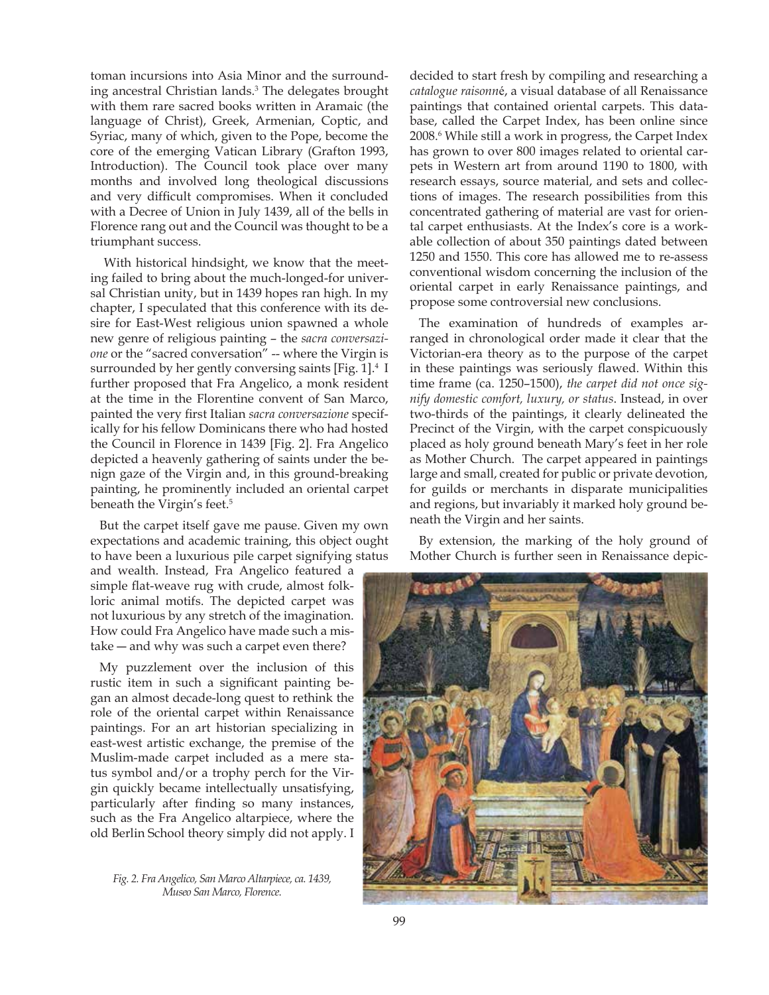toman incursions into Asia Minor and the surrounding ancestral Christian lands.3 The delegates brought with them rare sacred books written in Aramaic (the language of Christ), Greek, Armenian, Coptic, and Syriac, many of which, given to the Pope, become the core of the emerging Vatican Library (Grafton 1993, Introduction). The Council took place over many months and involved long theological discussions and very difficult compromises. When it concluded with a Decree of Union in July 1439, all of the bells in Florence rang out and the Council was thought to be a triumphant success.

 With historical hindsight, we know that the meeting failed to bring about the much-longed-for universal Christian unity, but in 1439 hopes ran high. In my chapter, I speculated that this conference with its desire for East-West religious union spawned a whole new genre of religious painting - the *sacra conversazione* or the "sacred conversation" -- where the Virgin is surrounded by her gently conversing saints [Fig. 1].<sup>4</sup> I further proposed that Fra Angelico, a monk resident at the time in the Florentine convent of San Marco,  $p$ ainted the very first Italian sacra conversazione specifically for his fellow Dominicans there who had hosted the Council in Florence in 1439 [Fig. 2]. Fra Angelico depicted a heavenly gathering of saints under the benign gaze of the Virgin and, in this ground-breaking painting, he prominently included an oriental carpet beneath the Virgin's feet.<sup>5</sup>

But the carpet itself gave me pause. Given my own expectations and academic training, this object ought to have been a luxurious pile carpet signifying status

and wealth. Instead, Fra Angelico featured a simple flat-weave rug with crude, almost folkloric animal motifs. The depicted carpet was not luxurious by any stretch of the imagination. How could Fra Angelico have made such a mistake  $-$  and why was such a carpet even there?

My puzzlement over the inclusion of this rustic item in such a significant painting began an almost decade-long quest to rethink the role of the oriental carpet within Renaissance paintings. For an art historian specializing in east-west artistic exchange, the premise of the Muslim-made carpet included as a mere status symbol and/or a trophy perch for the Virgin quickly became intellectually unsatisfying, particularly after finding so many instances, such as the Fra Angelico altarpiece, where the old Berlin School theory simply did not apply. I

*Fig.* 2. Fra Angelico, San Marco Altarpiece, ca. 1439, *Museo San Marco, Florence.* 

decided to start fresh by compiling and researching a *Formalogue raisonné, a visual database of all Renaissance* paintings that contained oriental carpets. This database, called the Carpet Index, has been online since 2008.6 While still a work in progress, the Carpet Index has grown to over 800 images related to oriental carpets in Western art from around 1190 to 1800, with research essays, source material, and sets and collections of images. The research possibilities from this concentrated gathering of material are vast for oriental carpet enthusiasts. At the Index's core is a workable collection of about 350 paintings dated between 1250 and 1550. This core has allowed me to re-assess conventional wisdom concerning the inclusion of the oriental carpet in early Renaissance paintings, and propose some controversial new conclusions.

The examination of hundreds of examples arranged in chronological order made it clear that the Victorian-era theory as to the purpose of the carpet in these paintings was seriously flawed. Within this fime frame (ca. 1250–1500), the carpet did not once sig*nify domestic comfort, luxury, or status. Instead, in over* two-thirds of the paintings, it clearly delineated the Precinct of the Virgin, with the carpet conspicuously placed as holy ground beneath Mary's feet in her role as Mother Church. The carpet appeared in paintings large and small, created for public or private devotion, for guilds or merchants in disparate municipalities and regions, but invariably it marked holy ground beneath the Virgin and her saints.

By extension, the marking of the holy ground of Mother Church is further seen in Renaissance depic-

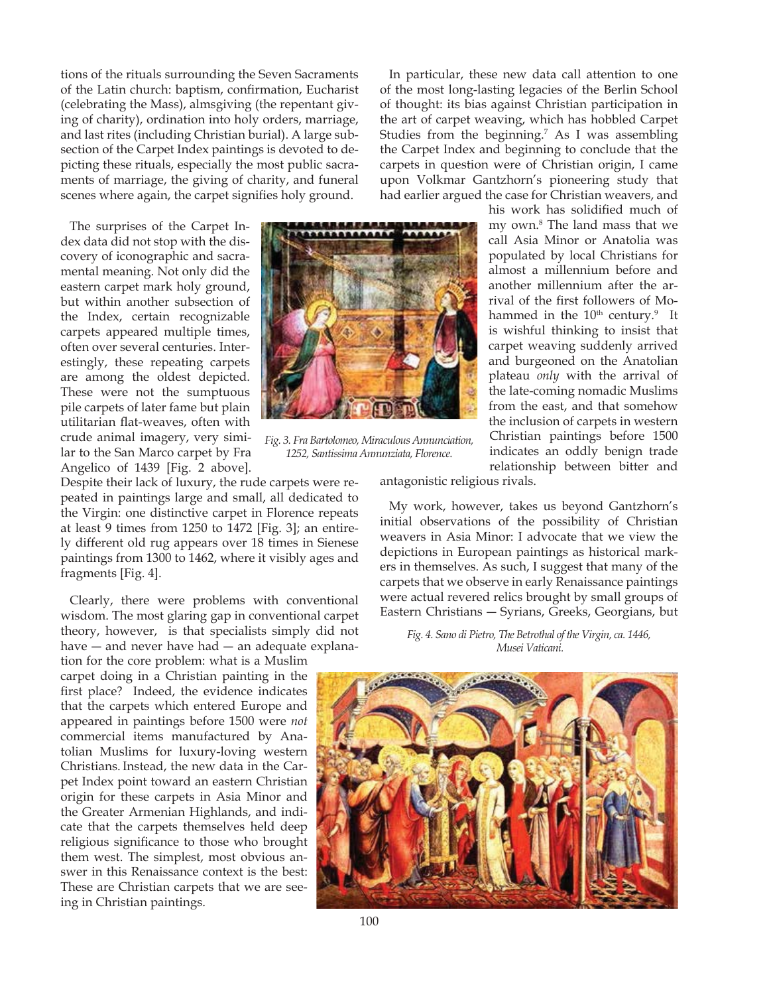tions of the rituals surrounding the Seven Sacraments of the Latin church: baptism, confirmation, Eucharist (celebrating the Mass), almsgiving (the repentant giving of charity), ordination into holy orders, marriage, and last rites (including Christian burial). A large subsection of the Carpet Index paintings is devoted to depicting these rituals, especially the most public sacraments of marriage, the giving of charity, and funeral scenes where again, the carpet signifies holy ground.

The surprises of the Carpet Index data did not stop with the discovery of iconographic and sacramental meaning. Not only did the eastern carpet mark holy ground, but within another subsection of the Index, certain recognizable carpets appeared multiple times, often over several centuries. Interestingly, these repeating carpets are among the oldest depicted. These were not the sumptuous pile carpets of later fame but plain utilitarian flat-weaves, often with crude animal imagery, very similar to the San Marco carpet by Fra Angelico of 1439 [Fig. 2 above].

Despite their lack of luxury, the rude carpets were repeated in paintings large and small, all dedicated to the Virgin: one distinctive carpet in Florence repeats at least 9 times from 1250 to 1472 [Fig. 3]; an entirely different old rug appears over 18 times in Sienese paintings from 1300 to 1462, where it visibly ages and fragments [Fig. 4].

Clearly, there were problems with conventional wisdom. The most glaring gap in conventional carpet theory, however, is that specialists simply did not have  $-$  and never have had  $-$  an adequate explana-

tion for the core problem: what is a Muslim carpet doing in a Christian painting in the first place? Indeed, the evidence indicates that the carpets which entered Europe and appeared in paintings before 1500 were *not* commercial items manufactured by Anatolian Muslims for luxury-loving western Christians. Instead, the new data in the Carpet Index point toward an eastern Christian origin for these carpets in Asia Minor and the Greater Armenian Highlands, and indicate that the carpets themselves held deep religious significance to those who brought them west. The simplest, most obvious answer in this Renaissance context is the best: These are Christian carpets that we are seeing in Christian paintings.



 $P$ *ig.* 3. Fra Bartolomeo, Miraculous Annunciation,  $1252$ , Santissima Annunziata, Florence.

In particular, these new data call attention to one of the most long-lasting legacies of the Berlin School of thought: its bias against Christian participation in the art of carpet weaving, which has hobbled Carpet Studies from the beginning.<sup>7</sup> As I was assembling the Carpet Index and beginning to conclude that the carpets in question were of Christian origin, I came upon Volkmar Gantzhorn's pioneering study that had earlier argued the case for Christian weavers, and

his work has solidified much of my own.8 The land mass that we call Asia Minor or Anatolia was populated by local Christians for almost a millennium before and another millennium after the arrival of the first followers of Mohammed in the  $10<sup>th</sup>$  century.<sup>9</sup> It is wishful thinking to insist that carpet weaving suddenly arrived and burgeoned on the Anatolian plateau *only* with the arrival of the late-coming nomadic Muslims from the east, and that somehow the inclusion of carpets in western Christian paintings before 1500 indicates an oddly benign trade relationship between bitter and

antagonistic religious rivals.

My work, however, takes us beyond Gantzhorn's initial observations of the possibility of Christian weavers in Asia Minor: I advocate that we view the depictions in European paintings as historical markers in themselves. As such, I suggest that many of the carpets that we observe in early Renaissance paintings were actual revered relics brought by small groups of Eastern Christians - Syrians, Greeks, Georgians, but

*Fig.* 4. Sano di Pietro, The Betrothal of the Virgin, ca. 1446, *Musei Vaticani.* 

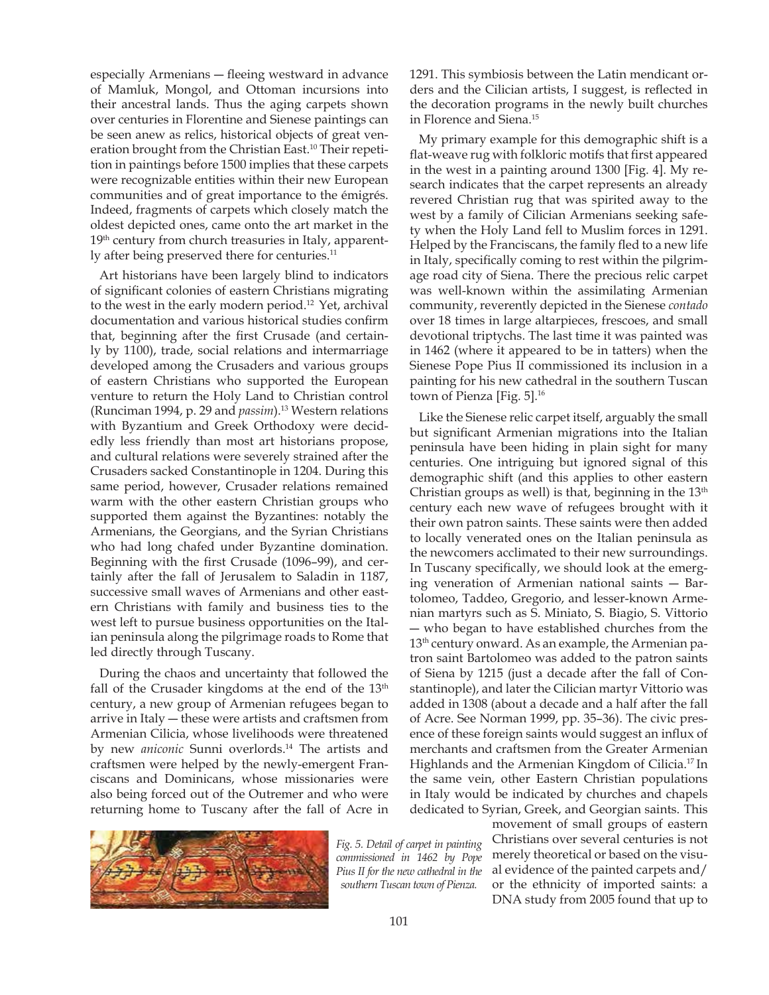especially Armenians - fleeing westward in advance of Mamluk, Mongol, and Ottoman incursions into their ancestral lands. Thus the aging carpets shown over centuries in Florentine and Sienese paintings can be seen anew as relics, historical objects of great veneration brought from the Christian East.<sup>10</sup> Their repetition in paintings before 1500 implies that these carpets were recognizable entities within their new European communities and of great importance to the émigrés. Indeed, fragments of carpets which closely match the oldest depicted ones, came onto the art market in the 19<sup>th</sup> century from church treasuries in Italy, apparently after being preserved there for centuries.<sup>11</sup>

Art historians have been largely blind to indicators of significant colonies of eastern Christians migrating to the west in the early modern period.12 Yet, archival documentation and various historical studies confirm that, beginning after the first Crusade (and certainly by 1100), trade, social relations and intermarriage developed among the Crusaders and various groups of eastern Christians who supported the European venture to return the Holy Land to Christian control (Runciman 1994, p. 29 and *passim*).<sup>13</sup> Western relations with Byzantium and Greek Orthodoxy were decidedly less friendly than most art historians propose, and cultural relations were severely strained after the Crusaders sacked Constantinople in 1204. During this same period, however, Crusader relations remained warm with the other eastern Christian groups who supported them against the Byzantines: notably the Armenians, the Georgians, and the Syrian Christians who had long chafed under Byzantine domination. Beginning with the first Crusade (1096–99), and certainly after the fall of Jerusalem to Saladin in 1187, successive small waves of Armenians and other eastern Christians with family and business ties to the west left to pursue business opportunities on the Italian peninsula along the pilgrimage roads to Rome that led directly through Tuscany.

During the chaos and uncertainty that followed the fall of the Crusader kingdoms at the end of the  $13<sup>th</sup>$ century, a new group of Armenian refugees began to arrive in Italy  $-$  these were artists and craftsmen from Armenian Cilicia, whose livelihoods were threatened by new *aniconic* Sunni overlords.<sup>14</sup> The artists and craftsmen were helped by the newly-emergent Franciscans and Dominicans, whose missionaries were also being forced out of the Outremer and who were returning home to Tuscany after the fall of Acre in



1291. This symbiosis between the Latin mendicant orders and the Cilician artists, I suggest, is reflected in the decoration programs in the newly built churches in Florence and Siena.<sup>15</sup>

My primary example for this demographic shift is a flat-weave rug with folkloric motifs that first appeared in the west in a painting around 1300 [Fig. 4]. My research indicates that the carpet represents an already revered Christian rug that was spirited away to the west by a family of Cilician Armenians seeking safety when the Holy Land fell to Muslim forces in 1291. Helped by the Franciscans, the family fled to a new life in Italy, specifically coming to rest within the pilgrimage road city of Siena. There the precious relic carpet was well-known within the assimilating Armenian community, reverently depicted in the Sienese *contado* over 18 times in large altarpieces, frescoes, and small devotional triptychs. The last time it was painted was in 1462 (where it appeared to be in tatters) when the Sienese Pope Pius II commissioned its inclusion in a painting for his new cathedral in the southern Tuscan town of Pienza [Fig.  $5$ ].<sup>16</sup>

Like the Sienese relic carpet itself, arguably the small but significant Armenian migrations into the Italian peninsula have been hiding in plain sight for many centuries. One intriguing but ignored signal of this demographic shift (and this applies to other eastern Christian groups as well) is that, beginning in the  $13<sup>th</sup>$ century each new wave of refugees brought with it their own patron saints. These saints were then added to locally venerated ones on the Italian peninsula as the newcomers acclimated to their new surroundings. In Tuscany specifically, we should look at the emerging veneration of Armenian national saints  $-$  Bartolomeo, Taddeo, Gregorio, and lesser-known Armenian martyrs such as S. Miniato, S. Biagio, S. Vittorio - who began to have established churches from the 13<sup>th</sup> century onward. As an example, the Armenian patron saint Bartolomeo was added to the patron saints of Siena by 1215 (just a decade after the fall of Constantinople), and later the Cilician martyr Vittorio was added in 1308 (about a decade and a half after the fall of Acre. See Norman 1999, pp. 35–36). The civic presence of these foreign saints would suggest an influx of merchants and craftsmen from the Greater Armenian Highlands and the Armenian Kingdom of Cilicia.17 In the same vein, other Eastern Christian populations in Italy would be indicated by churches and chapels dedicated to Syrian, Greek, and Georgian saints. This

movement of small groups of eastern

Christians over several centuries is not merely theoretical or based on the visual evidence of the painted carpets and/ or the ethnicity of imported saints: a DNA study from 2005 found that up to *Fig.* 5. Detail of carpet in painting *F*<sub>c</sub>*ommissioned in* 1462 *by* Pope *AIBius IIfor the new cathedral in the southern Tuscan town of Pienza.*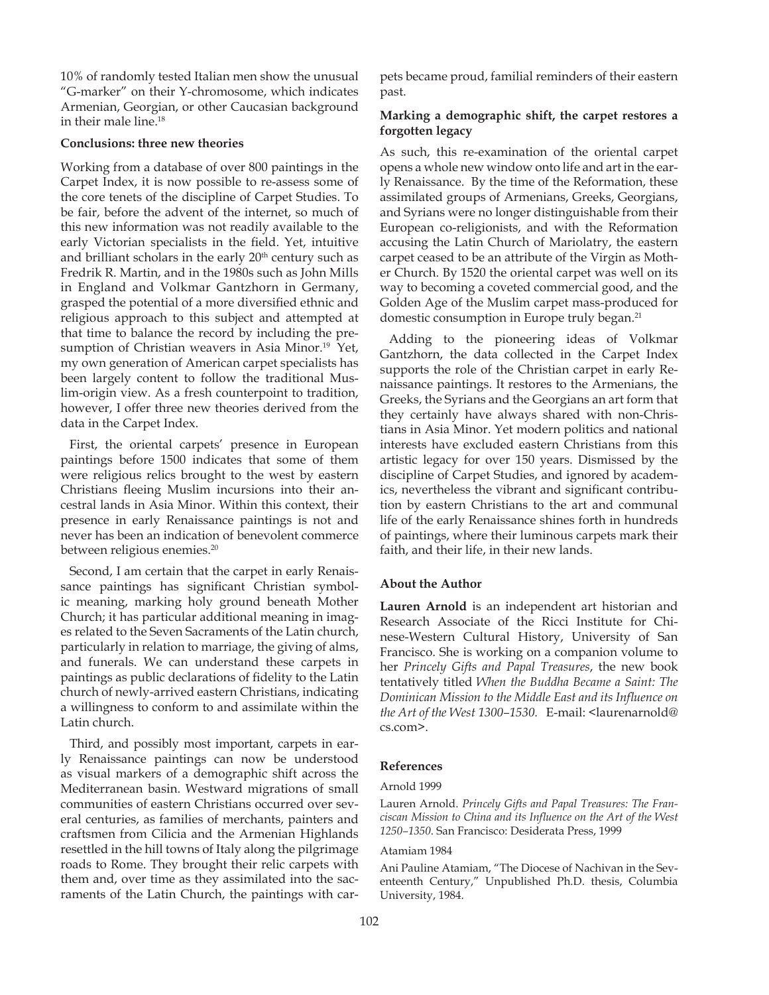10% of randomly tested Italian men show the unusual "G-marker" on their Y-chromosome, which indicates Armenian, Georgian, or other Caucasian background in their male line.18

# **Conclusions: three new theories**

Working from a database of over 800 paintings in the Carpet Index, it is now possible to re-assess some of the core tenets of the discipline of Carpet Studies. To be fair, before the advent of the internet, so much of this new information was not readily available to the early Victorian specialists in the field. Yet, intuitive and brilliant scholars in the early  $20<sup>th</sup>$  century such as Fredrik R. Martin, and in the 1980s such as John Mills in England and Volkmar Gantzhorn in Germany, grasped the potential of a more diversified ethnic and religious approach to this subject and attempted at that time to balance the record by including the presumption of Christian weavers in Asia Minor.<sup>19</sup> Yet, my own generation of American carpet specialists has been largely content to follow the traditional Muslim-origin view. As a fresh counterpoint to tradition, however, I offer three new theories derived from the data in the Carpet Index.

First, the oriental carpets' presence in European paintings before 1500 indicates that some of them were religious relics brought to the west by eastern Christians fleeing Muslim incursions into their ancestral lands in Asia Minor. Within this context, their presence in early Renaissance paintings is not and never has been an indication of benevolent commerce between religious enemies.<sup>20</sup>

Second, I am certain that the carpet in early Renaissance paintings has significant Christian symbolic meaning, marking holy ground beneath Mother Church; it has particular additional meaning in images related to the Seven Sacraments of the Latin church, particularly in relation to marriage, the giving of alms, and funerals. We can understand these carpets in paintings as public declarations of fidelity to the Latin church of newly-arrived eastern Christians, indicating a willingness to conform to and assimilate within the Latin church.

Third, and possibly most important, carpets in early Renaissance paintings can now be understood as visual markers of a demographic shift across the Mediterranean basin. Westward migrations of small communities of eastern Christians occurred over several centuries, as families of merchants, painters and craftsmen from Cilicia and the Armenian Highlands resettled in the hill towns of Italy along the pilgrimage roads to Rome. They brought their relic carpets with them and, over time as they assimilated into the sacraments of the Latin Church, the paintings with carpets became proud, familial reminders of their eastern past.

# **Marking a demographic shift, the carpet restores a forgotten legacy**

As such, this re-examination of the oriental carpet opens a whole new window onto life and art in the early Renaissance. By the time of the Reformation, these assimilated groups of Armenians, Greeks, Georgians, and Syrians were no longer distinguishable from their European co-religionists, and with the Reformation accusing the Latin Church of Mariolatry, the eastern carpet ceased to be an attribute of the Virgin as Mother Church. By 1520 the oriental carpet was well on its way to becoming a coveted commercial good, and the Golden Age of the Muslim carpet mass-produced for domestic consumption in Europe truly began.21

Adding to the pioneering ideas of Volkmar Gantzhorn, the data collected in the Carpet Index supports the role of the Christian carpet in early Renaissance paintings. It restores to the Armenians, the Greeks, the Syrians and the Georgians an art form that they certainly have always shared with non-Christians in Asia Minor. Yet modern politics and national interests have excluded eastern Christians from this artistic legacy for over 150 years. Dismissed by the discipline of Carpet Studies, and ignored by academics, nevertheless the vibrant and significant contribution by eastern Christians to the art and communal life of the early Renaissance shines forth in hundreds of paintings, where their luminous carpets mark their faith, and their life, in their new lands.

# **About the Author**

**Lauren Arnold** is an independent art historian and Research Associate of the Ricci Institute for Chinese-Western Cultural History, University of San Francisco. She is working on a companion volume to her *Princely Gifts and Papal Treasures*, the new book  $i$  tentatively titled *When the Buddha Became a Saint: The Pominican Mission to the Middle East and its Influence on the Art of the West 1300-1530.* E-mail: <laurenarnold@ cs.com>.

# **References**

# Arnold 1999

Lauren Arnold. Princely Gifts and Papal Treasures: The Franciscan Mission to China and its Influence on the Art of the West 1250-1350. San Francisco: Desiderata Press, 1999

## Atamiam 1984

Ani Pauline Atamiam, "The Diocese of Nachivan in the Seventeenth Century," Unpublished Ph.D. thesis, Columbia University, 1984.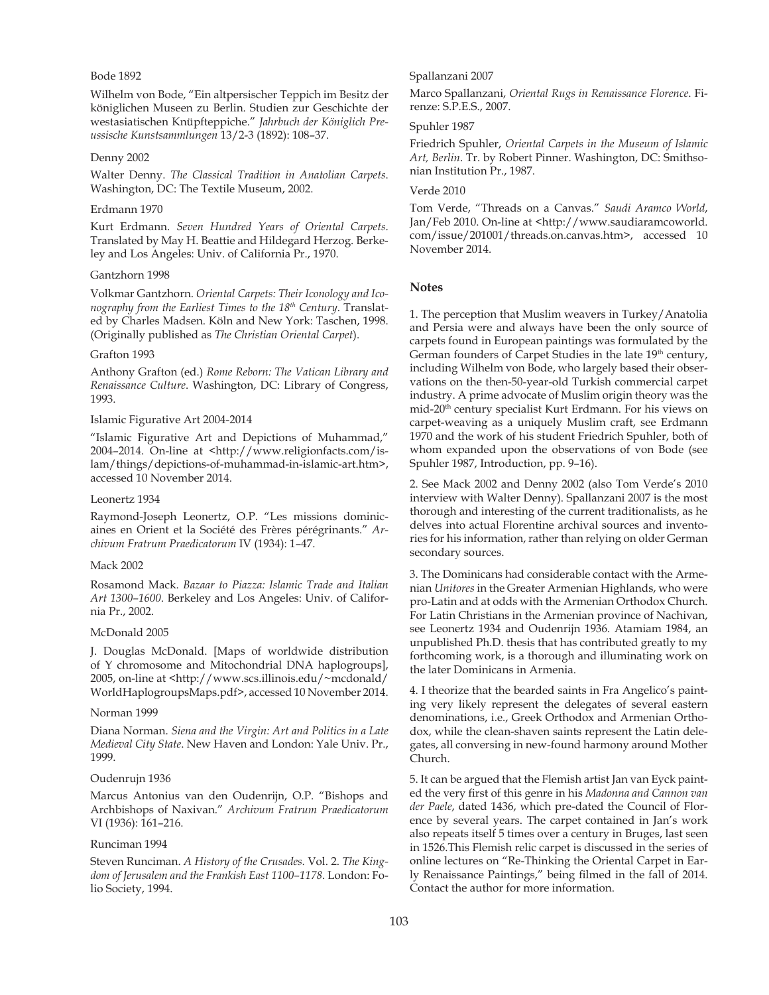# Bode 1892

Wilhelm von Bode, "Ein altpersischer Teppich im Besitz der königlichen Museen zu Berlin. Studien zur Geschichte der westasiatischen Knüpfteppiche." *Jahrbuch der Königlich Pre-XVVLVFKe.XnVWVDPPOXnJen* 13/2-3 (1892): 108–37.

#### Denny 2002

*Malter Denny. The Classical Tradition in Anatolian Carpets.* Washington, DC: The Textile Museum, 2002.

#### Erdmann 1970

Kurt Erdmann. Seven Hundred Years of Oriental Carpets. Translated by May H. Beattie and Hildegard Herzog. Berkeley and Los Angeles: Univ. of California Pr., 1970.

#### Gantzhorn 1998

*N*olkmar Gantzhorn. *Oriental Carpets: Their Iconology and Iconography from the Earliest Times to the 18<sup>th</sup> Century. Translat*ed by Charles Madsen. Köln and New York: Taschen, 1998. *(Originally published as The Christian Oriental Carpet).* 

#### Grafton 1993

Anthony Grafton (ed.) Rome Reborn: The Vatican Library and *Renaissance Culture.* Washington, DC: Library of Congress, 1993.

#### Islamic Figurative Art 2004-2014

"Islamic Figurative Art and Depictions of Muhammad," 2004–2014. On-line at <http://www.religionfacts.com/islam/things/depictions-of-muhammad-in-islamic-art.htm>, accessed 10 November 2014.

#### Leonertz 1934

Raymond-Joseph Leonertz, O.P. "Les missions dominicaines en Orient et la Société des Frères pérégrinants." Ar-*<i>Chivum Fratrum Praedicatorum IV* (1934): 1–47.

#### Mack 2002

 $R$ osamond Mack. *Bazaar to Piazza: Islamic Trade and Italian* Art 1300-1600. Berkeley and Los Angeles: Univ. of California Pr., 2002.

#### McDonald 2005

J. Douglas McDonald. [Maps of worldwide distribution of Y chromosome and Mitochondrial DNA haplogroups], 2005, on-line at <http://www.scs.illinois.edu/~mcdonald/ WorldHaplogroupsMaps.pdf>, accessed 10 November 2014.

#### Norman 1999

Diana Norman. Siena and the Virgin: Art and Politics in a Late *Medieval City State.* New Haven and London: Yale Univ. Pr., 1999.

### Oudenrujn 1936

Marcus Antonius van den Oudenrijn, O.P. "Bishops and Archbishops of Naxivan." Archivum Fratrum Praedicatorum VI (1936): 161–216.

#### Runciman 1994

Steven Runciman. A History of the Crusades. Vol. 2. The King*dom of Jerusalem and the Frankish East 1100–1178. London: Fo*lio Society, 1994.

# Spallanzani 2007

*Marco Spallanzani, Oriental Rugs in Renaissance Florence. Fi*renze: S.P.E.S., 2007.

#### Spuhler 1987

*Friedrich Spuhler, Oriental Carpets in the Museum of Islamic* Art, Berlin. Tr. by Robert Pinner. Washington, DC: Smithsonian Institution Pr., 1987.

#### Verde 2010

Tom Verde, "Threads on a Canvas." Saudi Aramco World, Jan/Feb 2010. On-line at <http://www.saudiaramcoworld. com/issue/201001/threads.on.canvas.htm>, accessed 10 November 2014.

# **Notes**

1. The perception that Muslim weavers in Turkey/Anatolia and Persia were and always have been the only source of carpets found in European paintings was formulated by the German founders of Carpet Studies in the late 19<sup>th</sup> century, including Wilhelm von Bode, who largely based their observations on the then-50-year-old Turkish commercial carpet industry. A prime advocate of Muslim origin theory was the mid-20<sup>th</sup> century specialist Kurt Erdmann. For his views on carpet-weaving as a uniquely Muslim craft, see Erdmann 1970 and the work of his student Friedrich Spuhler, both of whom expanded upon the observations of von Bode (see Spuhler 1987, Introduction, pp. 9–16).

2. See Mack 2002 and Denny 2002 (also Tom Verde's 2010 interview with Walter Denny). Spallanzani 2007 is the most thorough and interesting of the current traditionalists, as he delves into actual Florentine archival sources and inventories for his information, rather than relying on older German secondary sources.

3. The Dominicans had considerable contact with the Armenian *8nLtoUeV* in the Greater Armenian Highlands, who were pro-Latin and at odds with the Armenian Orthodox Church. For Latin Christians in the Armenian province of Nachivan, see Leonertz 1934 and Oudenrijn 1936. Atamiam 1984, an unpublished Ph.D. thesis that has contributed greatly to my forthcoming work, is a thorough and illuminating work on the later Dominicans in Armenia.

4. I theorize that the bearded saints in Fra Angelico's painting very likely represent the delegates of several eastern denominations, i.e., Greek Orthodox and Armenian Orthodox, while the clean-shaven saints represent the Latin delegates, all conversing in new-found harmony around Mother Church.

5. It can be argued that the Flemish artist Jan van Eyck paint- $\theta$  d the very first of this genre in his Madonna and Cannon van *der Paele, dated 1436, which pre-dated the Council of Flor*ence by several years. The carpet contained in Jan's work also repeats itself 5 times over a century in Bruges, last seen in 1526.This Flemish relic carpet is discussed in the series of online lectures on "Re-Thinking the Oriental Carpet in Early Renaissance Paintings," being filmed in the fall of 2014. Contact the author for more information.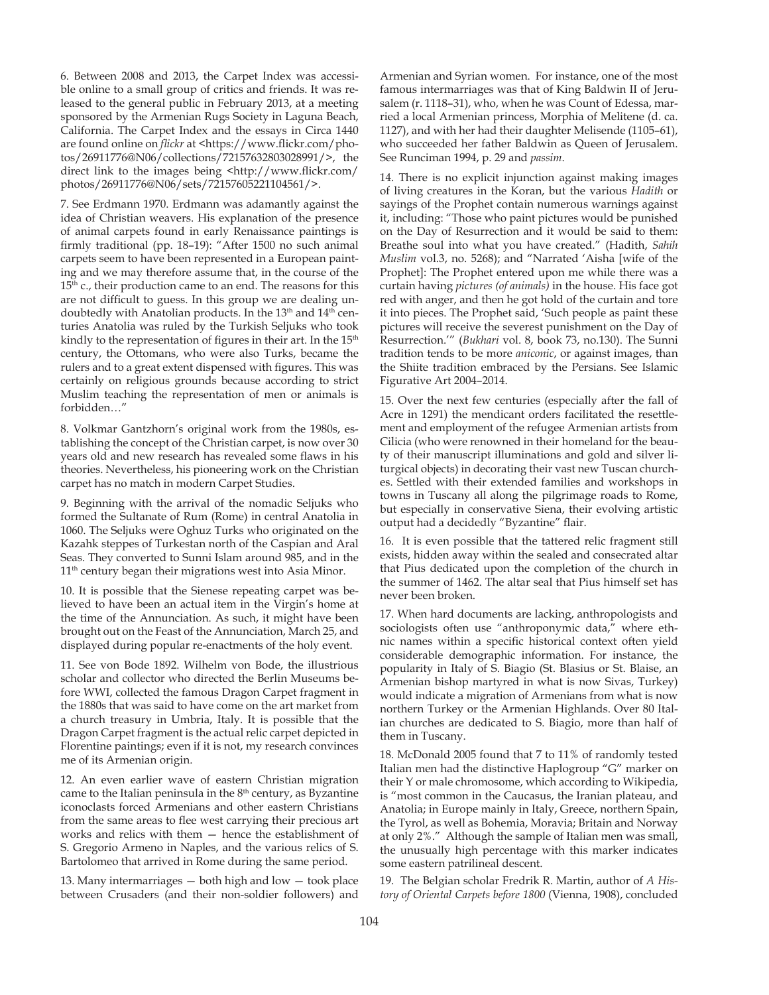6. Between 2008 and 2013, the Carpet Index was accessible online to a small group of critics and friends. It was released to the general public in February 2013, at a meeting sponsored by the Armenian Rugs Society in Laguna Beach, California. The Carpet Index and the essays in Circa 1440 are found online on *flickr* at <https://www.flickr.com/photos/26911776@N06/collections/72157632803028991/>, the direct link to the images being <http://www.flickr.com/ photos/26911776@N06/sets/72157605221104561/>.

7. See Erdmann 1970. Erdmann was adamantly against the idea of Christian weavers. His explanation of the presence of animal carpets found in early Renaissance paintings is firmly traditional (pp. 18-19): "After 1500 no such animal carpets seem to have been represented in a European painting and we may therefore assume that, in the course of the 15<sup>th</sup> c., their production came to an end. The reasons for this are not difficult to guess. In this group we are dealing undoubtedly with Anatolian products. In the 13<sup>th</sup> and 14<sup>th</sup> centuries Anatolia was ruled by the Turkish Seljuks who took kindly to the representation of figures in their art. In the 15<sup>th</sup> century, the Ottomans, who were also Turks, became the rulers and to a great extent dispensed with figures. This was certainly on religious grounds because according to strict Muslim teaching the representation of men or animals is forbidden…"

8. Volkmar Gantzhorn's original work from the 1980s, establishing the concept of the Christian carpet, is now over 30 years old and new research has revealed some flaws in his theories. Nevertheless, his pioneering work on the Christian carpet has no match in modern Carpet Studies.

9. Beginning with the arrival of the nomadic Seljuks who formed the Sultanate of Rum (Rome) in central Anatolia in 1060. The Seljuks were Oghuz Turks who originated on the Kazahk steppes of Turkestan north of the Caspian and Aral Seas. They converted to Sunni Islam around 985, and in the 11<sup>th</sup> century began their migrations west into Asia Minor.

10. It is possible that the Sienese repeating carpet was believed to have been an actual item in the Virgin's home at the time of the Annunciation. As such, it might have been brought out on the Feast of the Annunciation, March 25, and displayed during popular re-enactments of the holy event.

11. See von Bode 1892. Wilhelm von Bode, the illustrious scholar and collector who directed the Berlin Museums before WWI, collected the famous Dragon Carpet fragment in the 1880s that was said to have come on the art market from a church treasury in Umbria, Italy. It is possible that the Dragon Carpet fragment is the actual relic carpet depicted in Florentine paintings; even if it is not, my research convinces me of its Armenian origin.

12. An even earlier wave of eastern Christian migration came to the Italian peninsula in the  $8<sup>th</sup>$  century, as Byzantine iconoclasts forced Armenians and other eastern Christians from the same areas to flee west carrying their precious art works and relics with them — hence the establishment of S. Gregorio Armeno in Naples, and the various relics of S. Bartolomeo that arrived in Rome during the same period.

13. Many intermarriages — both high and low — took place between Crusaders (and their non-soldier followers) and Armenian and Syrian women. For instance, one of the most famous intermarriages was that of King Baldwin II of Jerusalem (r. 1118-31), who, when he was Count of Edessa, married a local Armenian princess, Morphia of Melitene (d. ca. 1127), and with her had their daughter Melisende (1105–61), who succeeded her father Baldwin as Queen of Jerusalem. See Runciman 1994, p. 29 and *passim*.

14. There is no explicit injunction against making images of living creatures in the Koran, but the various *Hadith* or sayings of the Prophet contain numerous warnings against it, including: "Those who paint pictures would be punished on the Day of Resurrection and it would be said to them: Breathe soul into what you have created." (Hadith, *Sahih Muslim vol.3, no. 5268); and "Narrated 'Aisha [wife of the* Prophet]: The Prophet entered upon me while there was a curtain having *pictures* (of *animals*) in the house. His face got red with anger, and then he got hold of the curtain and tore it into pieces. The Prophet said, 'Such people as paint these pictures will receive the severest punishment on the Day of Resurrection.'" (*Bukhari* vol. 8, book 73, no.130). The Sunni tradition tends to be more *aniconic*, or against images, than the Shiite tradition embraced by the Persians. See Islamic Figurative Art 2004–2014.

15. Over the next few centuries (especially after the fall of Acre in 1291) the mendicant orders facilitated the resettlement and employment of the refugee Armenian artists from Cilicia (who were renowned in their homeland for the beauty of their manuscript illuminations and gold and silver liturgical objects) in decorating their vast new Tuscan churches. Settled with their extended families and workshops in towns in Tuscany all along the pilgrimage roads to Rome, but especially in conservative Siena, their evolving artistic output had a decidedly "Byzantine" flair.

16. It is even possible that the tattered relic fragment still exists, hidden away within the sealed and consecrated altar that Pius dedicated upon the completion of the church in the summer of 1462. The altar seal that Pius himself set has never been broken.

17. When hard documents are lacking, anthropologists and sociologists often use "anthroponymic data," where ethnic names within a specific historical context often yield considerable demographic information. For instance, the popularity in Italy of S. Biagio (St. Blasius or St. Blaise, an Armenian bishop martyred in what is now Sivas, Turkey) would indicate a migration of Armenians from what is now northern Turkey or the Armenian Highlands. Over 80 Italian churches are dedicated to S. Biagio, more than half of them in Tuscany.

18. McDonald 2005 found that 7 to 11% of randomly tested Italian men had the distinctive Haplogroup "G" marker on their Y or male chromosome, which according to Wikipedia, is "most common in the Caucasus, the Iranian plateau, and Anatolia; in Europe mainly in Italy, Greece, northern Spain, the Tyrol, as well as Bohemia, Moravia; Britain and Norway at only 2%." Although the sample of Italian men was small, the unusually high percentage with this marker indicates some eastern patrilineal descent.

19. The Belgian scholar Fredrik R. Martin, author of *A History of Oriental Carpets before 1800 (Vienna, 1908), concluded*